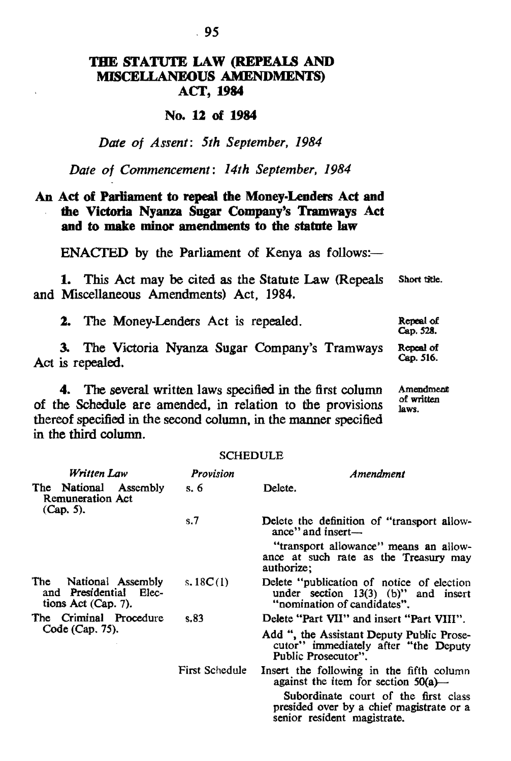# THE STATUTE LAW (REPEAlS AND MISCELLANEOUS AMENDMENTS) ACf, 1984

### No. 12 of 1984

# *Date of Assent: 5th September, 1984*

*Date of Commencement: 14th September, 1984* 

# An Act of Parliament to repeal the Money-Lenders Act and the Victoria Nyanza Sugar Company's Tramways Act and to make minor amendments to the statute law

 $ENACTED$  by the Parliament of Kenya as follows:-

1. This Act may be cited as the Statute Law (Repeals and Miscellaneous Amendments) Act, 1984. Short title.

2. The Money-Lenders Act is repealed.

3. The Victoria Nyanza Sugar Company's Tramways Act is repealed. Repeal of Cap. 516.

4. The several written laws specified in the first column of the Schedule are amended, in relation to the provisions thereof specified in the second column. in the manner specified in the third column.

Amendment of written Jaws.

Repeal of Cap. 528.

| <b>SCHEDULE</b>                                                                  |                |                                                                                                                   |  |  |
|----------------------------------------------------------------------------------|----------------|-------------------------------------------------------------------------------------------------------------------|--|--|
| Written Law                                                                      | Provision      | Amendment                                                                                                         |  |  |
| The National Assembly<br>Remuneration Act<br>$(Cap. 5)$ .                        | s. $6$         | Delete.                                                                                                           |  |  |
|                                                                                  | s.7            | Delete the definition of "transport allow-<br>ance" and insert-                                                   |  |  |
|                                                                                  |                | "transport allowance" means an allow-<br>ance at such rate as the Treasury may<br>authorize;                      |  |  |
| The .<br>National Assembly<br>and Presidential<br>Elec-<br>tions $Act$ (Cap. 7). | s. $18C(1)$    | Delete "publication of notice of election<br>under section $13(3)$ (b)" and insert<br>"nomination of candidates". |  |  |
| The Criminal Procedure<br>Code (Cap. 75).                                        | s.83           | Delete "Part VII" and insert "Part VIII".                                                                         |  |  |
|                                                                                  |                | Add ", the Assistant Deputy Public Prose-<br>cutor" immediately after "the Deputy<br>Public Prosecutor".          |  |  |
|                                                                                  | First Schedule | Insert the following in the fifth column<br>against the item for section $50(a)$ —                                |  |  |
|                                                                                  |                | Subordinate court of the first class<br>presided over by a chief magistrate or a                                  |  |  |

senior resident magistrate.

SCHEDULE SCHEDULE

### .95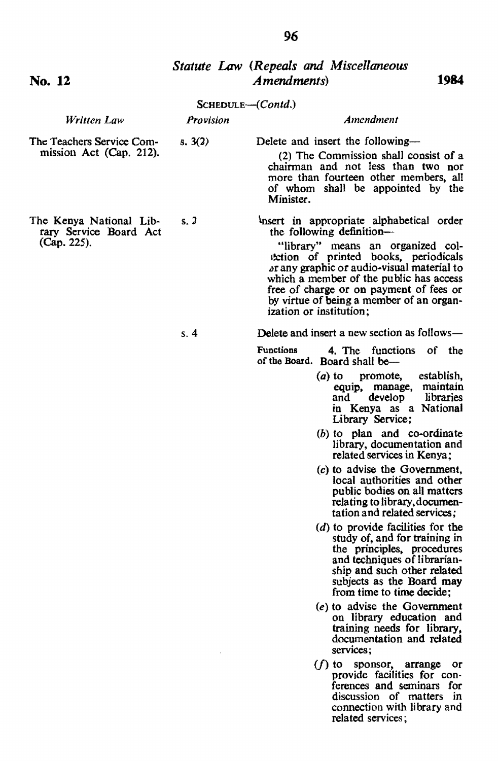No. **12** 

(Cap. 225).

# *Statute Law (Repeals* and *Miscellaneous Amendments)* **1984**

|                                                                 |           | SCHEDULE--(Contd.)                                                                                                                                                                                         |  |  |
|-----------------------------------------------------------------|-----------|------------------------------------------------------------------------------------------------------------------------------------------------------------------------------------------------------------|--|--|
| Written Law                                                     | Provision | Amendment                                                                                                                                                                                                  |  |  |
| The Teachers Service Com-<br>s. 3(2)<br>mission Act (Cap. 212). |           | Delete and insert the following-<br>(2) The Commission shall consist of a<br>chairman and not less than two nor<br>more than fourteen other members, all<br>of whom shall be appointed by the<br>Minister. |  |  |
| The Kenya National Lib-<br>rary Service Board Act               | s.2       | Insert in appropriate alphabetical order<br>the following definition-                                                                                                                                      |  |  |

"library" means an organized col- **Iterior of printed books**, periodicals or any graphic or audio-visual material to<br>which a member of the public has access free of charge or on payment of fees or<br>by virtue of being a member of an organization or institution;

*s.4* 

Delete and insert a new section as follows-

Functions 4. The functions of the of the Board. Board shall be-

- (a) to promote, establish, equip, manage, maintain<br>and develop libraries libraries in Kenya as a National Library Service;
- (b) to plan and co-ordinate library, documentation and related services in Kenya;
- (e) to advise the Government, local authorities and other public bodies on all matters relating to library.documentation and related services;
- $(d)$  to provide facilities for the study of, and for training in the principles, procedures and techniques of librarianship and such other related subjects as the Board may from time to time decide;
- (e) to advise the Government on library education and training needs for library, documentation and related services;
- $(f)$  to sponsor, arrange or provide facilities for con-<br>ferences and seminars for discussion of matters in connection with library and related services;

96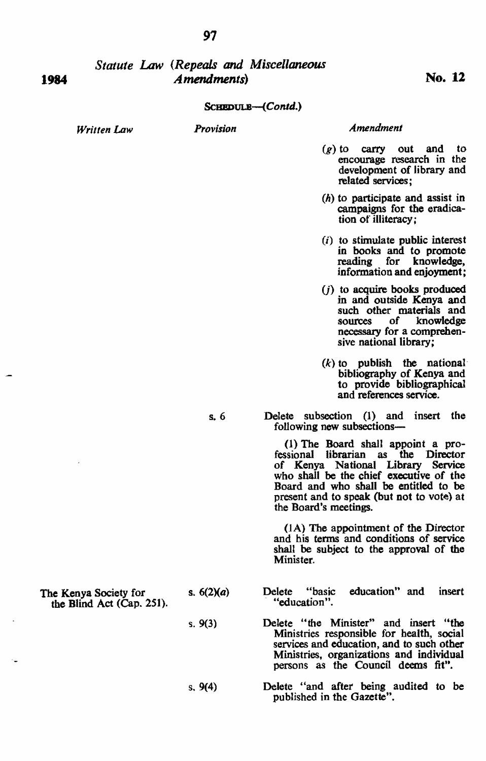# *Statute Law (Repeals and Miscellaneous Amendments*) **No. 12**

### SCHEDULB--(Contd.)

*WrillenLaw* 

1984

### *Provision Amendment*

- $(g)$  to carry out and to encourage research in the development of library and related services;
- (h) to participate and assist in campaigns for the eradication of illiteracy ;
- $(i)$  to stimulate public interest in books and to promote reading for knowledge, information and enjoyment;
- $(i)$  to acquire books produced in and outside Kenya and such other materials and sources of knowledge necessary for a comprehensive national library;
- $(k)$  to publish the national bibliography of Kenya and to provide bibliographical and references service.
- s. 6 Delete subsection (1) and insert the following new subsections-

(1) The Board shall appoint a professional librarian as the Director of Kenya National Library Service who shall be the chief executive of the Board and who shall be entitled to be present and to speak (but not to vote) at the Board's meetings.

(JA) The appointment of the Director and his tenns and conditions of service shall be subject to the approval of the Minister.

- Delete "basic education" and insert "education".
- Delete "the Minister" and insert "the Ministries responsible for health, social services and education, and to such other Ministries, organizations and individual persons as the Council deems fit".
- Delete "and after being audited to be published in the Gazette".

The Kenya Society for the Blind Act (Cap. 251).

s.9(4)

s.  $6(2)(a)$ 

s. 9(3)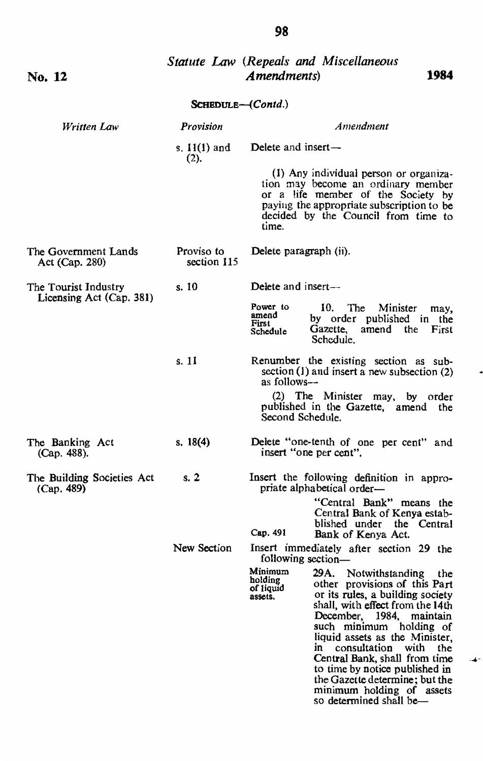| No. 12                                           |                           | Statute Law (Repeals and Miscellaneous<br>Amendments)<br>1984                                                                                                                                                                                                                                                                                                                                                                                                                 |  |  |
|--------------------------------------------------|---------------------------|-------------------------------------------------------------------------------------------------------------------------------------------------------------------------------------------------------------------------------------------------------------------------------------------------------------------------------------------------------------------------------------------------------------------------------------------------------------------------------|--|--|
|                                                  | <b>SCHEDULE-(Contd.)</b>  |                                                                                                                                                                                                                                                                                                                                                                                                                                                                               |  |  |
| Written Law                                      | Provision                 | Amendment                                                                                                                                                                                                                                                                                                                                                                                                                                                                     |  |  |
|                                                  | s. $11(1)$ and<br>(2).    | Delete and insert-                                                                                                                                                                                                                                                                                                                                                                                                                                                            |  |  |
|                                                  |                           | (1) Any individual person or organiza-<br>tion may become an ordinary member<br>or a life member of the Society by<br>paying the appropriate subscription to be<br>decided by the Council from time to<br>time.                                                                                                                                                                                                                                                               |  |  |
| The Government Lands<br>Act (Cap. 280)           | Proviso to<br>section 115 | Delete paragraph (ii).                                                                                                                                                                                                                                                                                                                                                                                                                                                        |  |  |
| The Tourist Industry<br>Licensing Act (Cap. 381) | s. 10                     | Delete and insert-                                                                                                                                                                                                                                                                                                                                                                                                                                                            |  |  |
|                                                  |                           | Power to<br>10.<br>The<br>Minister<br>may.<br>amend<br>by order published in the<br>First<br>Gazette, amend the<br>First<br>Schedule<br>Schedule.                                                                                                                                                                                                                                                                                                                             |  |  |
|                                                  | s. 11                     | Renumber the existing section as sub-<br>section $(1)$ and insert a new subsection $(2)$<br>as follows-                                                                                                                                                                                                                                                                                                                                                                       |  |  |
|                                                  |                           | (2) The Minister may, by order<br>published in the Gazette, amend the<br>Second Schedule.                                                                                                                                                                                                                                                                                                                                                                                     |  |  |
| The Banking Act<br>(Cap. 488).                   | s. 18(4)                  | Delete "one-tenth of one per cent" and<br>insert "one per cent".                                                                                                                                                                                                                                                                                                                                                                                                              |  |  |
| The Building Societies Act<br>(Cap. 489)         | s.2                       | Insert the following definition in appro-<br>priate alphabetical order-                                                                                                                                                                                                                                                                                                                                                                                                       |  |  |
|                                                  |                           | "Central Bank" means the<br>Central Bank of Kenya estab-<br>blished under the Central<br>Cap. 491<br>Bank of Kenya Act.                                                                                                                                                                                                                                                                                                                                                       |  |  |
|                                                  | New Section               | Insert immediately after section 29 the<br>following section-                                                                                                                                                                                                                                                                                                                                                                                                                 |  |  |
|                                                  |                           | Minimum<br>29A. Notwithstanding<br>the<br>holding<br>other provisions of this Part<br>of liquid<br>or its rules, a building society<br>assets.<br>shall, with effect from the 14th<br>December,<br>1984, maintain<br>such minimum holding of<br>liquid assets as the Minister,<br>in consultation<br>with<br>the<br>Central Bank, shall from time<br>to time by notice published in<br>the Gazette determine; but the<br>minimum holding of assets<br>so determined shall be— |  |  |

# 98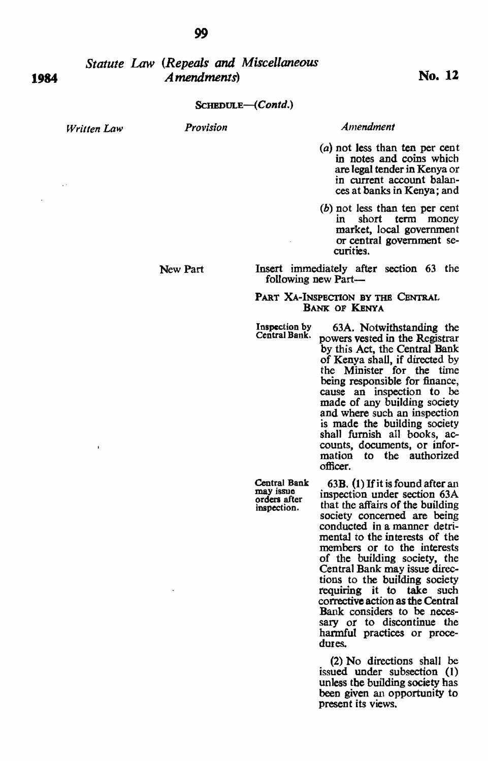# *Statute Law (Repeals and Miscellaneous Amendments*) No. 12

### *ScHBDULE-{Contd.)*

*Written Law* 

*Provision* 

*Amendment* 

- (a) not less than ten per cent in notes and coins which are legal tender in Kenya or in current account balances at banks in Kenya; and
- $(b)$  not less than ten per cent<br>in short term money short term money market, local government or central government se- curities.

Insert immediately after section 63 the following new Part-

### PART XA-INSPECTION BY THE CENTRAL BANK OF KENYA

Inspection by Central Bank.

Central Bank may issue orders after inspection.

63A. Notwithstanding the powers vested in the Registrar by this Act, the Central Bank of Kenya shall, if directed by the Minister for the time being responsible for finance, cause an inspection to be made of any building society and where such an inspection is made the building society<br>shall furnish all books, accounts, documents, or information to the authorized officer.

63B. (1) If it is found after an inspection under section  $63A$ that the affairs of the building society concerned are being conducted in a manner detrimental to the interests of the members or to the interests of the building society, the Central Bank may issue directions to the building society requiring it to take such corrective action as the Central<br>Bank considers to be necessary or to discontinue the harmful practices or procedures.

(2) No directions shall be issued under subsection (I) unless tbe building society has been given an opportunity to present its views.

**1984** 

## New Part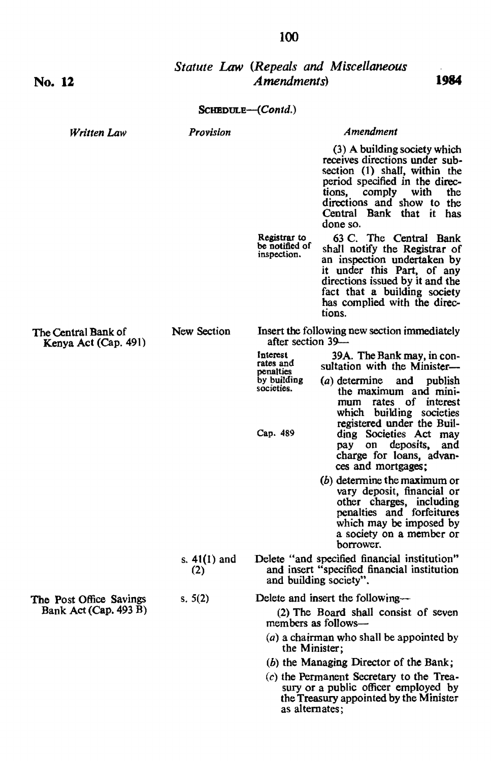| No. 12                                           |                       | Amendments)                                                       | <b>Statute Law (Repeals and Miscellaneous</b><br>1984                                                                                                                                                                                      |
|--------------------------------------------------|-----------------------|-------------------------------------------------------------------|--------------------------------------------------------------------------------------------------------------------------------------------------------------------------------------------------------------------------------------------|
|                                                  |                       | $S$ CHEDULE— $(Contd.)$                                           |                                                                                                                                                                                                                                            |
| Written Law                                      | Provision             |                                                                   | Amendment                                                                                                                                                                                                                                  |
|                                                  |                       |                                                                   | (3) A building society which<br>receives directions under sub-<br>section (1) shall, within the<br>period specified in the direc-<br>comply<br>with<br>the<br>tions,<br>directions and show to the<br>Central Bank that it has<br>done so. |
|                                                  |                       | Registrar to<br>be notified of<br>inspection.                     | 63 C. The Central Bank<br>shall notify the Registrar of<br>an inspection undertaken by<br>it under this Part, of any<br>directions issued by it and the<br>fact that a building society<br>has complied with the direc-<br>tions.          |
| The Central Bank of<br>Kenya Act (Cap. 491)      | New Section           | Insert the following new section immediately<br>after section 39— |                                                                                                                                                                                                                                            |
|                                                  |                       | Interest<br>rates and<br>penalties                                | 39A. The Bank may, in con-<br>sultation with the Minister-                                                                                                                                                                                 |
|                                                  |                       | by building<br>societies.                                         | (a) determine<br>and<br>publish<br>the maximum and mini-<br>rates of interest<br>mum<br>which building societies<br>registered under the Buil-                                                                                             |
|                                                  |                       | Cap. 489                                                          | ding Societies Act may<br>deposits,<br>on<br>and<br>pay<br>charge for loans, advan-<br>ces and mortgages;                                                                                                                                  |
|                                                  |                       |                                                                   | (b) determine the maximum or<br>vary deposit, financial or<br>other charges, including<br>penalties and forfeitures<br>which may be imposed by<br>a society on a member or<br>borrower.                                                    |
|                                                  | s. $41(1)$ and<br>(2) |                                                                   | Delete "and specified financial institution"<br>and insert "specified financial institution<br>and building society".                                                                                                                      |
| The Post Office Savings<br>Bank Act (Cap. 493 B) | s. $5(2)$             |                                                                   | Delete and insert the following-                                                                                                                                                                                                           |
|                                                  |                       |                                                                   | (2) The Board shall consist of seven<br>members as follows-                                                                                                                                                                                |
|                                                  |                       | the Minister;                                                     | (a) a chairman who shall be appointed by                                                                                                                                                                                                   |
|                                                  |                       |                                                                   | (b) the Managing Director of the Bank;                                                                                                                                                                                                     |
|                                                  |                       | as alternates;                                                    | $(c)$ the Permanent Secretary to the Trea-<br>sury or a public officer employed by<br>the Treasury appointed by the Minister                                                                                                               |

# **100**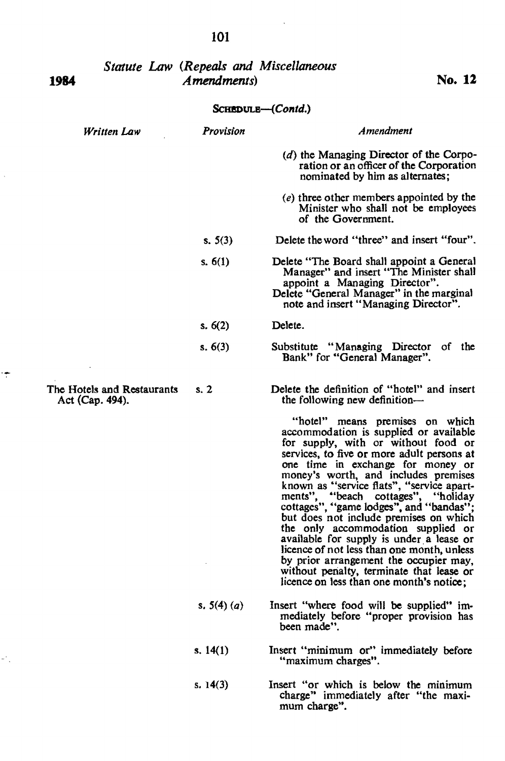| 1984              |                                               | <b>Statute Law (Repeals and Miscellaneous</b><br>Amendments) | No. 12                                                                                                                                                                                                                                                                                                                                                                                                                                                                                                                                                                                                                                                                                                                                                                |  |
|-------------------|-----------------------------------------------|--------------------------------------------------------------|-----------------------------------------------------------------------------------------------------------------------------------------------------------------------------------------------------------------------------------------------------------------------------------------------------------------------------------------------------------------------------------------------------------------------------------------------------------------------------------------------------------------------------------------------------------------------------------------------------------------------------------------------------------------------------------------------------------------------------------------------------------------------|--|
| SCHEDULE-(Contd.) |                                               |                                                              |                                                                                                                                                                                                                                                                                                                                                                                                                                                                                                                                                                                                                                                                                                                                                                       |  |
|                   | Written Law                                   | Provision                                                    | Amendment                                                                                                                                                                                                                                                                                                                                                                                                                                                                                                                                                                                                                                                                                                                                                             |  |
|                   |                                               |                                                              | (d) the Managing Director of the Corpo-<br>ration or an officer of the Corporation<br>nominated by him as alternates;                                                                                                                                                                                                                                                                                                                                                                                                                                                                                                                                                                                                                                                 |  |
|                   |                                               |                                                              | (e) three other members appointed by the<br>Minister who shall not be employees<br>of the Government.                                                                                                                                                                                                                                                                                                                                                                                                                                                                                                                                                                                                                                                                 |  |
|                   |                                               | s. $5(3)$                                                    | Delete the word "three" and insert "four".                                                                                                                                                                                                                                                                                                                                                                                                                                                                                                                                                                                                                                                                                                                            |  |
|                   |                                               | s. $6(1)$                                                    | Delete "The Board shall appoint a General"<br>Manager" and insert "The Minister shall<br>appoint a Managing Director".<br>Delete "General Manager" in the marginal<br>note and insert "Managing Director".                                                                                                                                                                                                                                                                                                                                                                                                                                                                                                                                                            |  |
|                   |                                               | s. $6(2)$                                                    | Delete.                                                                                                                                                                                                                                                                                                                                                                                                                                                                                                                                                                                                                                                                                                                                                               |  |
|                   |                                               | s. 6(3)                                                      | Substitute "Managing Director of the<br>Bank" for "General Manager".                                                                                                                                                                                                                                                                                                                                                                                                                                                                                                                                                                                                                                                                                                  |  |
|                   | The Hotels and Restaurants<br>Act (Cap. 494). | s.2                                                          | Delete the definition of "hotel" and insert<br>the following new definition—<br>"hotel" means premises on which<br>accommodation is supplied or available<br>for supply, with or without food or<br>services, to five or more adult persons at<br>one time in exchange for money or<br>money's worth, and includes premises<br>known as "service flats", "service apart-<br>ments", "beach cottages", "holiday<br>cottages", "game lodges", and "bandas";<br>but does not include premises on which<br>the only accommodation supplied or<br>available for supply is under a lease or<br>licence of not less than one month, unless<br>by prior arrangement the occupier may,<br>without penalty, terminate that lease or<br>licence on less than one month's notice: |  |
|                   |                                               | s. $5(4)(a)$                                                 | Insert "where food will be supplied" im-<br>mediately before "proper provision has<br>been made".                                                                                                                                                                                                                                                                                                                                                                                                                                                                                                                                                                                                                                                                     |  |
|                   |                                               | s. $14(1)$                                                   | Insert "minimum or" immediately before                                                                                                                                                                                                                                                                                                                                                                                                                                                                                                                                                                                                                                                                                                                                |  |

s. 14(3)

Insert "minimum or" immediately before "maximum charges".

Insert "or which is below the minimum charge" immediately after "the maxi- mum charge".

101

l,

 $\ddot{\tau}$ 

 $\omega_{\rm{eff}}^{(0)}$